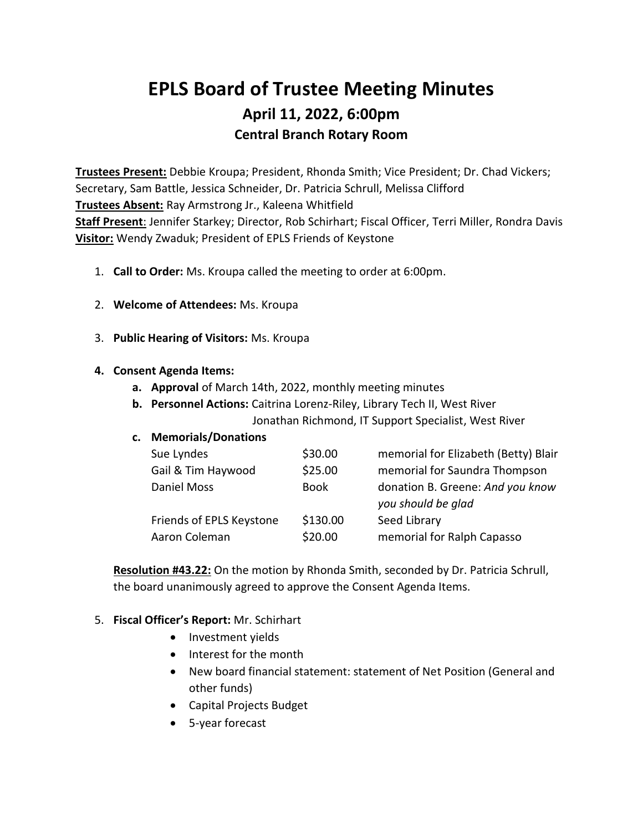# **EPLS Board of Trustee Meeting Minutes April 11, 2022, 6:00pm Central Branch Rotary Room**

**Trustees Present:** Debbie Kroupa; President, Rhonda Smith; Vice President; Dr. Chad Vickers; Secretary, Sam Battle, Jessica Schneider, Dr. Patricia Schrull, Melissa Clifford **Trustees Absent:** Ray Armstrong Jr., Kaleena Whitfield **Staff Present**: Jennifer Starkey; Director, Rob Schirhart; Fiscal Officer, Terri Miller, Rondra Davis **Visitor:** Wendy Zwaduk; President of EPLS Friends of Keystone

- 1. **Call to Order:** Ms. Kroupa called the meeting to order at 6:00pm.
- 2. **Welcome of Attendees:** Ms. Kroupa
- 3. **Public Hearing of Visitors:** Ms. Kroupa

#### **4. Consent Agenda Items:**

- **a. Approval** of March 14th, 2022, monthly meeting minutes
- **b. Personnel Actions:** Caitrina Lorenz-Riley, Library Tech II, West River Jonathan Richmond, IT Support Specialist, West River

### **c. Memorials/Donations**

| Sue Lyndes               | \$30.00     | memorial for Elizabeth (Betty) Blair                   |
|--------------------------|-------------|--------------------------------------------------------|
| Gail & Tim Haywood       | \$25.00     | memorial for Saundra Thompson                          |
| Daniel Moss              | <b>Book</b> | donation B. Greene: And you know<br>you should be glad |
| Friends of EPLS Keystone | \$130.00    | Seed Library                                           |
| Aaron Coleman            | \$20.00     | memorial for Ralph Capasso                             |

**Resolution #43.22:** On the motion by Rhonda Smith, seconded by Dr. Patricia Schrull, the board unanimously agreed to approve the Consent Agenda Items.

### 5. **Fiscal Officer's Report:** Mr. Schirhart

- Investment yields
- Interest for the month
- New board financial statement: statement of Net Position (General and other funds)
- Capital Projects Budget
- 5-year forecast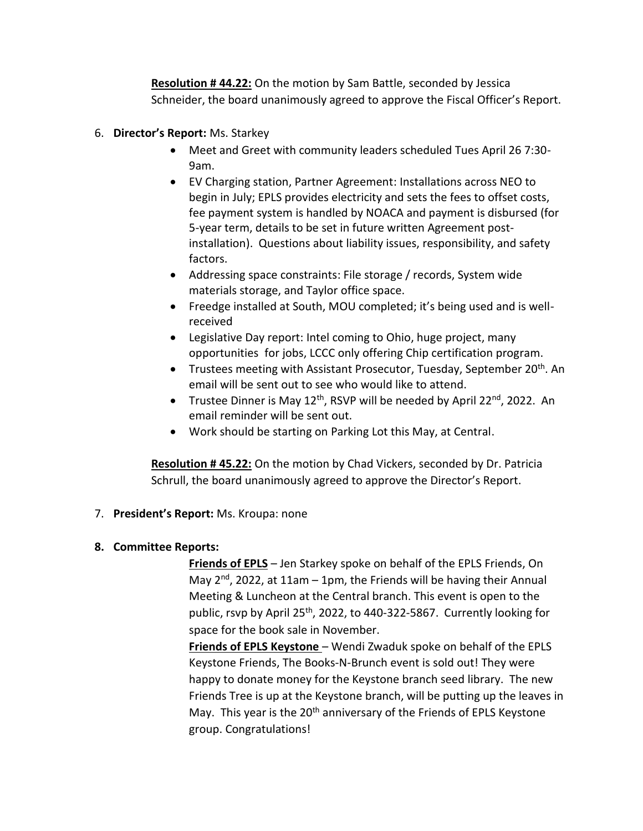**Resolution # 44.22:** On the motion by Sam Battle, seconded by Jessica Schneider, the board unanimously agreed to approve the Fiscal Officer's Report.

- 6. **Director's Report:** Ms. Starkey
	- Meet and Greet with community leaders scheduled Tues April 26 7:30- 9am.
	- EV Charging station, Partner Agreement: Installations across NEO to begin in July; EPLS provides electricity and sets the fees to offset costs, fee payment system is handled by NOACA and payment is disbursed (for 5-year term, details to be set in future written Agreement postinstallation). Questions about liability issues, responsibility, and safety factors.
	- Addressing space constraints: File storage / records, System wide materials storage, and Taylor office space.
	- Freedge installed at South, MOU completed; it's being used and is wellreceived
	- Legislative Day report: Intel coming to Ohio, huge project, many opportunities for jobs, LCCC only offering Chip certification program.
	- Trustees meeting with Assistant Prosecutor, Tuesday, September 20<sup>th</sup>. An email will be sent out to see who would like to attend.
	- Trustee Dinner is May  $12^{th}$ , RSVP will be needed by April 22<sup>nd</sup>, 2022. An email reminder will be sent out.
	- Work should be starting on Parking Lot this May, at Central.

**Resolution # 45.22:** On the motion by Chad Vickers, seconded by Dr. Patricia Schrull, the board unanimously agreed to approve the Director's Report.

7. **President's Report:** Ms. Kroupa: none

## **8. Committee Reports:**

**Friends of EPLS** – Jen Starkey spoke on behalf of the EPLS Friends, On May 2<sup>nd</sup>, 2022, at 11am - 1pm, the Friends will be having their Annual Meeting & Luncheon at the Central branch. This event is open to the public, rsvp by April 25<sup>th</sup>, 2022, to 440-322-5867. Currently looking for space for the book sale in November.

**Friends of EPLS Keystone** – Wendi Zwaduk spoke on behalf of the EPLS Keystone Friends, The Books-N-Brunch event is sold out! They were happy to donate money for the Keystone branch seed library. The new Friends Tree is up at the Keystone branch, will be putting up the leaves in May. This year is the  $20<sup>th</sup>$  anniversary of the Friends of EPLS Keystone group. Congratulations!